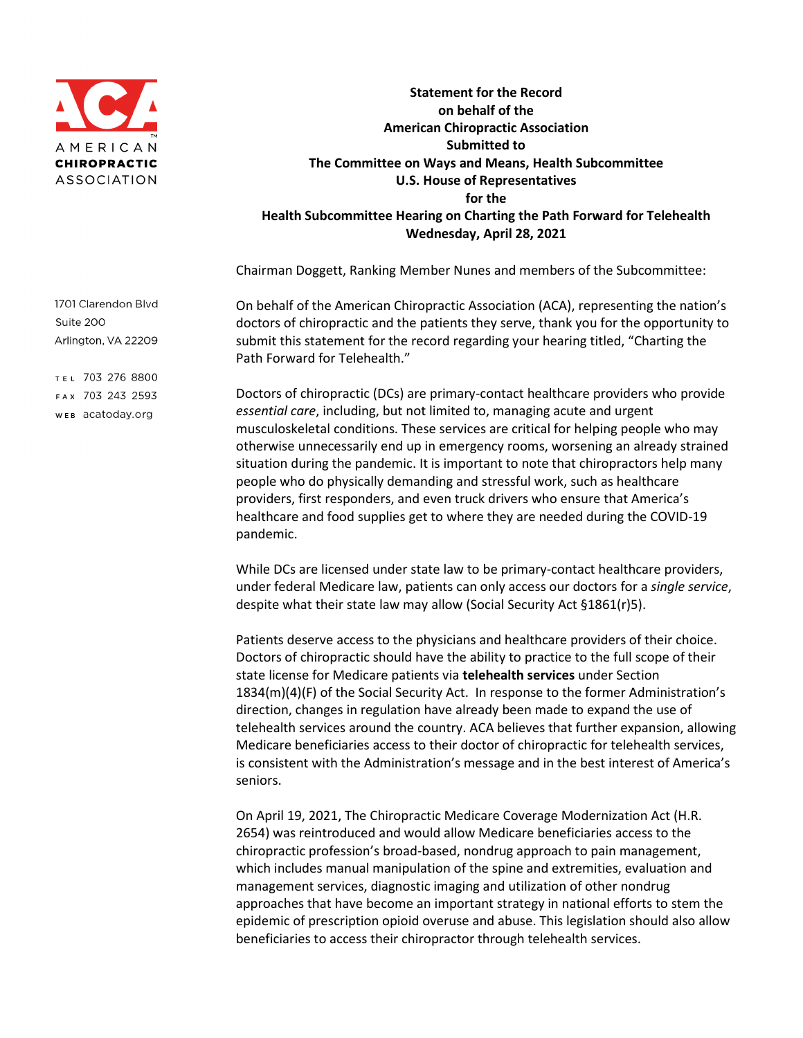

**Statement for the Record on behalf of the American Chiropractic Association Submitted to The Committee on Ways and Means, Health Subcommittee U.S. House of Representatives for the Health Subcommittee Hearing on Charting the Path Forward for Telehealth Wednesday, April 28, 2021** 

Chairman Doggett, Ranking Member Nunes and members of the Subcommittee:

On behalf of the American Chiropractic Association (ACA), representing the nation's doctors of chiropractic and the patients they serve, thank you for the opportunity to submit this statement for the record regarding your hearing titled, "Charting the Path Forward for Telehealth."

Doctors of chiropractic (DCs) are primary-contact healthcare providers who provide *essential care*, including, but not limited to, managing acute and urgent musculoskeletal conditions. These services are critical for helping people who may otherwise unnecessarily end up in emergency rooms, worsening an already strained situation during the pandemic. It is important to note that chiropractors help many people who do physically demanding and stressful work, such as healthcare providers, first responders, and even truck drivers who ensure that America's healthcare and food supplies get to where they are needed during the COVID-19 pandemic.

While DCs are licensed under state law to be primary-contact healthcare providers, under federal Medicare law, patients can only access our doctors for a *single service*, despite what their state law may allow (Social Security Act §1861(r)5).

Patients deserve access to the physicians and healthcare providers of their choice. Doctors of chiropractic should have the ability to practice to the full scope of their state license for Medicare patients via **telehealth services** under Section 1834(m)(4)(F) of the Social Security Act. In response to the former Administration's direction, changes in regulation have already been made to expand the use of telehealth services around the country. ACA believes that further expansion, allowing Medicare beneficiaries access to their doctor of chiropractic for telehealth services, is consistent with the Administration's message and in the best interest of America's seniors.

On April 19, 2021, The Chiropractic Medicare Coverage Modernization Act (H.R. 2654) was reintroduced and would allow Medicare beneficiaries access to the chiropractic profession's broad-based, nondrug approach to pain management, which includes manual manipulation of the spine and extremities, evaluation and management services, diagnostic imaging and utilization of other nondrug approaches that have become an important strategy in national efforts to stem the epidemic of prescription opioid overuse and abuse. This legislation should also allow beneficiaries to access their chiropractor through telehealth services.

1701 Clarendon Blvd Suite 200 Arlington, VA 22209

TEL 703 276 8800 FAX 703 243 2593 WEB acatoday.org